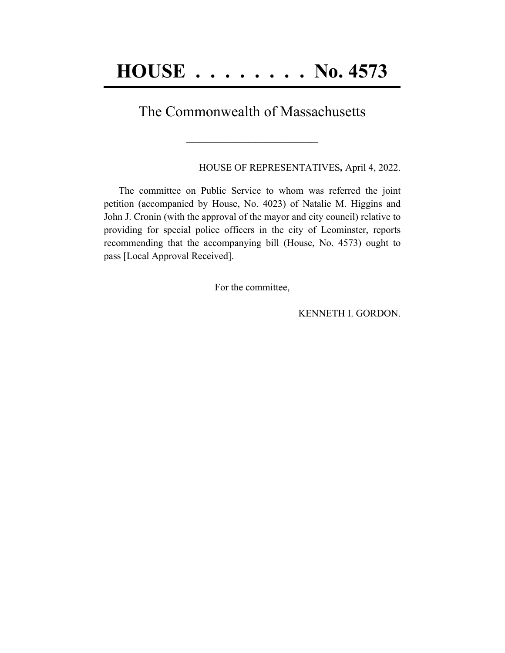## The Commonwealth of Massachusetts

**\_\_\_\_\_\_\_\_\_\_\_\_\_\_\_\_\_\_\_\_\_\_\_\_\_\_\_\_\_\_\_\_\_\_\_\_\_\_\_\_**

HOUSE OF REPRESENTATIVES*,* April 4, 2022.

The committee on Public Service to whom was referred the joint petition (accompanied by House, No. 4023) of Natalie M. Higgins and John J. Cronin (with the approval of the mayor and city council) relative to providing for special police officers in the city of Leominster, reports recommending that the accompanying bill (House, No. 4573) ought to pass [Local Approval Received].

For the committee,

KENNETH I. GORDON.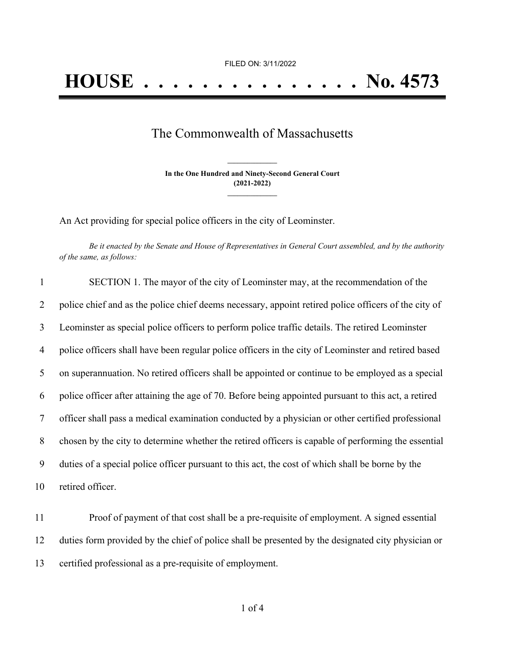## The Commonwealth of Massachusetts

**In the One Hundred and Ninety-Second General Court (2021-2022) \_\_\_\_\_\_\_\_\_\_\_\_\_\_\_**

**\_\_\_\_\_\_\_\_\_\_\_\_\_\_\_**

An Act providing for special police officers in the city of Leominster.

Be it enacted by the Senate and House of Representatives in General Court assembled, and by the authority *of the same, as follows:*

| $\mathbf{1}$ | SECTION 1. The mayor of the city of Leominster may, at the recommendation of the                     |
|--------------|------------------------------------------------------------------------------------------------------|
| 2            | police chief and as the police chief deems necessary, appoint retired police officers of the city of |
| 3            | Leominster as special police officers to perform police traffic details. The retired Leominster      |
| 4            | police officers shall have been regular police officers in the city of Leominster and retired based  |
| 5            | on superannuation. No retired officers shall be appointed or continue to be employed as a special    |
| 6            | police officer after attaining the age of 70. Before being appointed pursuant to this act, a retired |
| 7            | officer shall pass a medical examination conducted by a physician or other certified professional    |
| 8            | chosen by the city to determine whether the retired officers is capable of performing the essential  |
| 9            | duties of a special police officer pursuant to this act, the cost of which shall be borne by the     |
| 10           | retired officer.                                                                                     |

11 Proof of payment of that cost shall be a pre-requisite of employment. A signed essential 12 duties form provided by the chief of police shall be presented by the designated city physician or 13 certified professional as a pre-requisite of employment.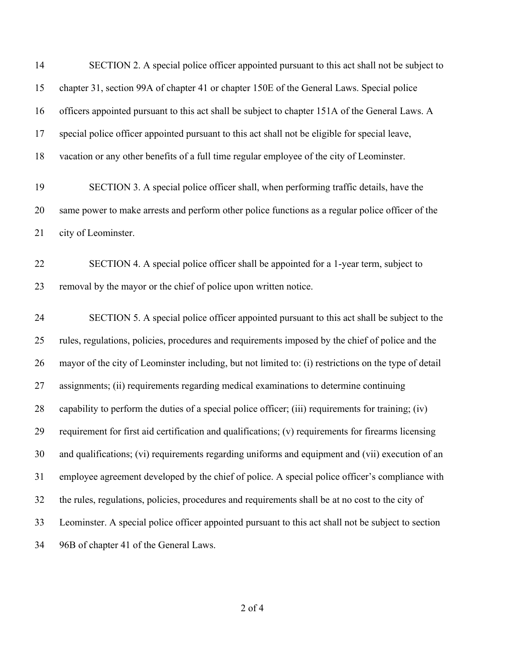| 14 | SECTION 2. A special police officer appointed pursuant to this act shall not be subject to            |
|----|-------------------------------------------------------------------------------------------------------|
| 15 | chapter 31, section 99A of chapter 41 or chapter 150E of the General Laws. Special police             |
| 16 | officers appointed pursuant to this act shall be subject to chapter 151A of the General Laws. A       |
| 17 | special police officer appointed pursuant to this act shall not be eligible for special leave,        |
| 18 | vacation or any other benefits of a full time regular employee of the city of Leominster.             |
| 19 | SECTION 3. A special police officer shall, when performing traffic details, have the                  |
| 20 | same power to make arrests and perform other police functions as a regular police officer of the      |
| 21 | city of Leominster.                                                                                   |
| 22 | SECTION 4. A special police officer shall be appointed for a 1-year term, subject to                  |
| 23 | removal by the mayor or the chief of police upon written notice.                                      |
| 24 | SECTION 5. A special police officer appointed pursuant to this act shall be subject to the            |
| 25 | rules, regulations, policies, procedures and requirements imposed by the chief of police and the      |
| 26 | mayor of the city of Leominster including, but not limited to: (i) restrictions on the type of detail |
| 27 | assignments; (ii) requirements regarding medical examinations to determine continuing                 |
| 28 | capability to perform the duties of a special police officer; (iii) requirements for training; (iv)   |
| 29 | requirement for first aid certification and qualifications; (v) requirements for firearms licensing   |
| 30 | and qualifications; (vi) requirements regarding uniforms and equipment and (vii) execution of an      |
| 31 | employee agreement developed by the chief of police. A special police officer's compliance with       |
| 32 | the rules, regulations, policies, procedures and requirements shall be at no cost to the city of      |
| 33 | Leominster. A special police officer appointed pursuant to this act shall not be subject to section   |
| 34 | 96B of chapter 41 of the General Laws.                                                                |
|    |                                                                                                       |

of 4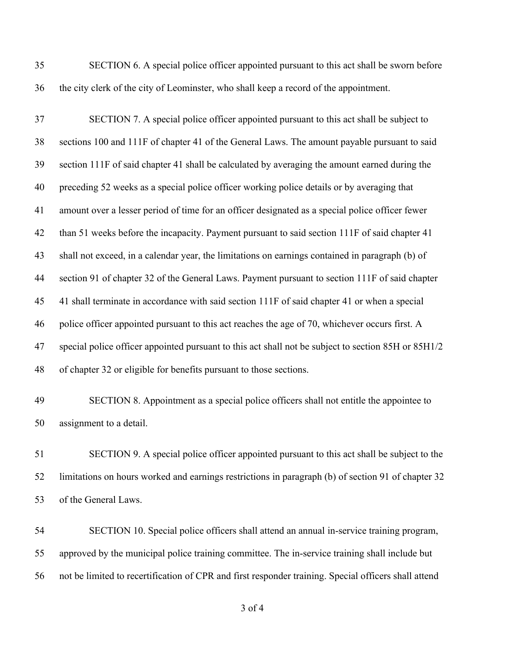SECTION 6. A special police officer appointed pursuant to this act shall be sworn before the city clerk of the city of Leominster, who shall keep a record of the appointment.

 SECTION 7. A special police officer appointed pursuant to this act shall be subject to sections 100 and 111F of chapter 41 of the General Laws. The amount payable pursuant to said section 111F of said chapter 41 shall be calculated by averaging the amount earned during the preceding 52 weeks as a special police officer working police details or by averaging that amount over a lesser period of time for an officer designated as a special police officer fewer than 51 weeks before the incapacity. Payment pursuant to said section 111F of said chapter 41 shall not exceed, in a calendar year, the limitations on earnings contained in paragraph (b) of section 91 of chapter 32 of the General Laws. Payment pursuant to section 111F of said chapter 41 shall terminate in accordance with said section 111F of said chapter 41 or when a special police officer appointed pursuant to this act reaches the age of 70, whichever occurs first. A special police officer appointed pursuant to this act shall not be subject to section 85H or 85H1/2 of chapter 32 or eligible for benefits pursuant to those sections.

 SECTION 8. Appointment as a special police officers shall not entitle the appointee to assignment to a detail.

 SECTION 9. A special police officer appointed pursuant to this act shall be subject to the limitations on hours worked and earnings restrictions in paragraph (b) of section 91 of chapter 32 of the General Laws.

 SECTION 10. Special police officers shall attend an annual in-service training program, approved by the municipal police training committee. The in-service training shall include but not be limited to recertification of CPR and first responder training. Special officers shall attend

of 4